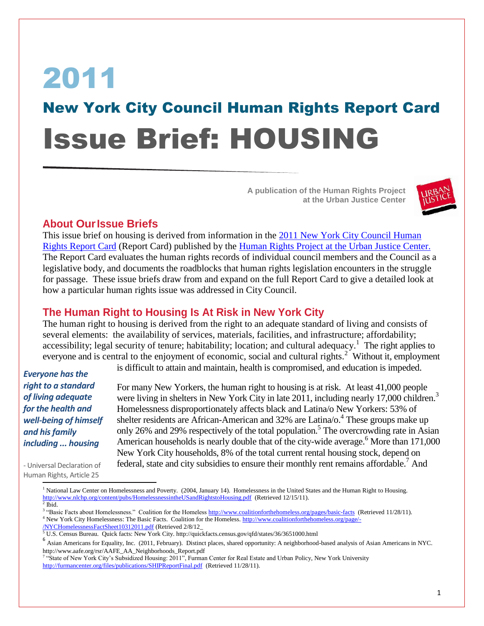# 2011 New York City Council Human Rights Report Card Issue Brief: HOUSING

**A publication of the Human Rights Project at the Urban Justice Center**



### **About OurIssue Briefs**

This issue brief on housing is derived from information in the [2011 New York City Council Human](http://www.hrpujc.org/documents/2011ReportCardWeb.pdf)  [Rights Report Card](http://www.hrpujc.org/documents/2011ReportCardWeb.pdf) (Report Card) published by the [Human Rights Project at the Urban Justice Center.](http://hrpujc.org/) The Report Card evaluates the human rights records of individual council members and the Council as a legislative body, and documents the roadblocks that human rights legislation encounters in the struggle for passage. These issue briefs draw from and expand on the full Report Card to give a detailed look at how a particular human rights issue was addressed in City Council.

## **The Human Right to Housing Is At Risk in New York City**

The human right to housing is derived from the right to an adequate standard of living and consists of several elements: the availability of services, materials, facilities, and infrastructure; affordability; accessibility; legal security of tenure; habitability; location; and cultural adequacy.<sup>1</sup> The right applies to everyone and is central to the enjoyment of economic, social and cultural rights.<sup>2</sup> Without it, employment

*Everyone has the right to a standard of living adequate for the health and well-being of himself and his family including ... housing*

is difficult to attain and maintain, health is compromised, and education is impeded.

For many New Yorkers, the human right to housing is at risk. At least 41,000 people were living in shelters in New York City in late 2011, including nearly 17,000 children.<sup>3</sup> Homelessness disproportionately affects black and Latina/o New Yorkers: 53% of shelter residents are African-American and 32% are Latina/o.<sup>4</sup> These groups make up only 26% and 29% respectively of the total population.<sup>5</sup> The overcrowding rate in Asian American households is nearly double that of the city-wide average.<sup>6</sup> More than  $171,000$ New York City households, 8% of the total current rental housing stock, depend on federal, state and city subsidies to ensure their monthly rent remains affordable.<sup>7</sup> And

- Universal Declaration of Human Rights, Article 25  $\overline{\phantom{a}}$ 

<sup>&</sup>lt;sup>1</sup> National Law Center on Homelessness and Poverty. (2004, January 14). Homelessness in the United States and the Human Right to Housing. <http://www.nlchp.org/content/pubs/HomelessnessintheUSandRightstoHousing.pdf>(Retrieved 12/15/11).  $<sup>2</sup>$  Ibid.</sup>

<sup>&</sup>lt;sup>3</sup> "Basic Facts about Homelessness." Coalition for the Homeless<http://www.coalitionforthehomeless.org/pages/basic-facts>(Retrieved 11/28/11). <sup>4</sup> New York City Homelessness: The Basic Facts. Coalition for the Homeless. [http://www.coalitionforthehomeless.org/page/-](http://www.coalitionforthehomeless.org/page/-/NYCHomelessnessFactSheet10312011.pdf) [/NYCHomelessnessFactSheet10312011.pdf](http://www.coalitionforthehomeless.org/page/-/NYCHomelessnessFactSheet10312011.pdf) (Retrieved 2/8/12\_

<sup>5</sup> U.S. Census Bureau. Quick facts: New York City. http://quickfacts.census.gov/qfd/states/36/3651000.html

<sup>&</sup>lt;sup>6</sup> Asian Americans for Equality, Inc. (2011, February). Distinct places, shared opportunity: A neighborhood-based analysis of Asian Americans in NYC. http://www.aafe.org/rsr/AAFE\_AA\_Neighborhoods\_Report.pdf

<sup>&</sup>lt;sup>7</sup> "State of New York City's Subsidized Housing: 2011", Furman Center for Real Estate and Urban Policy, New York University <http://furmancenter.org/files/publications/SHIPReportFinal.pdf>(Retrieved 11/28/11).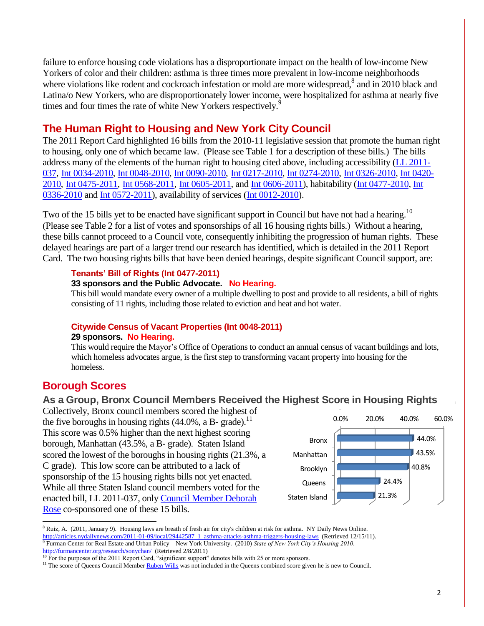failure to enforce housing code violations has a disproportionate impact on the health of low-income New Yorkers of color and their children: asthma is three times more prevalent in low-income neighborhoods where violations like rodent and cockroach infestation or mold are more widespread,<sup>8</sup> and in 2010 black and Latina/o New Yorkers, who are disproportionately lower income, were hospitalized for asthma at nearly five times and four times the rate of white New Yorkers respectively.<sup>9</sup>

## **The Human Right to Housing and New York City Council**

The 2011 Report Card highlighted 16 bills from the 2010-11 legislative session that promote the human right to housing, only one of which became law. (Please see Table 1 for a description of these bills.) The bills address many of the elements of the human right to housing cited above, including accessibility [\(LL 2011-](http://legistar.council.nyc.gov/LegislationDetail.aspx?ID=805820&GUID=D78B3B37-1F60-4684-BAD0-4550521D5899&Options=ID|Text|&Search=037) [037,](http://legistar.council.nyc.gov/LegislationDetail.aspx?ID=805820&GUID=D78B3B37-1F60-4684-BAD0-4550521D5899&Options=ID|Text|&Search=037) [Int 0034-2010,](http://legistar.council.nyc.gov/LegislationDetail.aspx?ID=649914&GUID=A3249471-4D6E-4AA7-8868-B1F3A46E5CD4&Options=ID|Text|&Search=housing) [Int 0048-2010,](http://legistar.council.nyc.gov/LegislationDetail.aspx?ID=649884&GUID=4B0F7491-9B25-48B8-BEE9-3183D8943704&Options=ID|Text|&Search=housing) [Int 0090-2010,](http://legistar.council.nyc.gov/LegislationDetail.aspx?ID=652625&GUID=1BAE21F9-D76F-4333-AA71-D3490D617DD7&Options=ID|Text|&Search=housing) [Int 0217-2010,](http://legistar.council.nyc.gov/LegislationDetail.aspx?ID=662406&GUID=7B14BFF3-BABC-4258-8999-C68D5D7EF8B1&Options=ID|Text|&Search=housing) [Int 0274-2010,](http://legistar.council.nyc.gov/LegislationDetail.aspx?ID=666575&GUID=1A6FDDA4-A681-480B-A097-0249BD4AE4EF&Options=ID|Text|&Search=housing) [Int 0326-2010,](http://legistar.council.nyc.gov/LegislationDetail.aspx?ID=733531&GUID=698BAA04-3FEF-421E-9E76-00F69400B59B&Options=ID|Text|&Search=housing) [Int 0420-](http://legistar.council.nyc.gov/LegislationDetail.aspx?ID=803593&GUID=3B2A14BD-3CCE-4586-B074-7E5AEFF7BB53&Options=ID|Text|&Search=housing) [2010,](http://legistar.council.nyc.gov/LegislationDetail.aspx?ID=803593&GUID=3B2A14BD-3CCE-4586-B074-7E5AEFF7BB53&Options=ID|Text|&Search=housing) [Int 0475-2011,](http://legistar.council.nyc.gov/LegislationDetail.aspx?ID=842802&GUID=0A5DCF94-3E2B-45D1-897F-02FE51446BCD&Options=ID|Text|&Search=housing) [Int 0568-2011,](http://legistar.council.nyc.gov/LegislationDetail.aspx?ID=904476&GUID=AAE9889E-BA14-4E84-B673-96D737D36F27&Options=ID|Text|&Search=568) [Int 0605-2011,](http://legistar.council.nyc.gov/LegislationDetail.aspx?ID=917890&GUID=51B9513B-33B3-45D5-B151-D4876FD9233A&Options=ID|Text|&Search=605) and [Int 0606-2011\)](http://legistar.council.nyc.gov/LegislationDetail.aspx?ID=917888&GUID=3182D6F0-75FB-417C-95D8-FF2712686328&Options=ID|Text|&Search=discrimination), habitability (Int [0477-2010,](http://legistar.council.nyc.gov/LegislationDetail.aspx?ID=842801&GUID=4F0FF5BF-257E-449B-9D12-3B784CD42337&Options=ID|Text|&Search=housing) [Int](http://legistar.council.nyc.gov/LegislationDetail.aspx?ID=773195&GUID=0CCEA702-FD39-45AF-B43E-8501892FE887&Options=ID|Text|&Search=housing)  [0336-2010](http://legistar.council.nyc.gov/LegislationDetail.aspx?ID=773195&GUID=0CCEA702-FD39-45AF-B43E-8501892FE887&Options=ID|Text|&Search=housing) and [Int 0572-2011\)](http://legistar.council.nyc.gov/LegislationDetail.aspx?ID=908209&GUID=D7EDB916-AF2C-4831-9823-216E8E18AFEC&Options=ID|Text|&Search=572), availability of services [\(Int 0012-2010\)](http://legistar.council.nyc.gov/LegislationDetail.aspx?ID=648806&GUID=145C3459-B38E-48D6-A0AA-3EE252DE85D9&Options=ID|Text|&Search=housing).

Two of the 15 bills yet to be enacted have significant support in Council but have not had a hearing.<sup>10</sup> (Please see Table 2 for a list of votes and sponsorships of all 16 housing rights bills.) Without a hearing, these bills cannot proceed to a Council vote, consequently inhibiting the progression of human rights. These delayed hearings are part of a larger trend our research has identified, which is detailed in the 2011 Report Card. The two housing rights bills that have been denied hearings, despite significant Council support, are:

#### **Tenants' Bill of Rights (Int 0477-2011)**

#### **33 sponsors and the Public Advocate. No Hearing.**

This bill would mandate every owner of a multiple dwelling to post and provide to all residents, a bill of rights consisting of 11 rights, including those related to eviction and heat and hot water.

#### **Citywide Census of Vacant Properties (Int 0048-2011) 29 sponsors. No Hearing.**

This would require the Mayor's Office of Operations to conduct an annual census of vacant buildings and lots, which homeless advocates argue, is the first step to transforming vacant property into housing for the homeless.

## **Borough Scores**

 $\overline{a}$ 

### **As a Group, Bronx Council Members Received the Highest Score in Housing Rights**

Collectively, Bronx council members scored the highest of the five boroughs in housing rights  $(44.0\%$ , a B- grade).<sup>11</sup> This score was 0.5% higher than the next highest scoring borough, Manhattan (43.5%, a B- grade). Staten Island scored the lowest of the boroughs in housing rights (21.3%, a C grade). This low score can be attributed to a lack of sponsorship of the 15 housing rights bills not yet enacted. While all three Staten Island council members voted for the enacted bill, LL 2011-037, only [Council Member Deborah](http://council.nyc.gov/d49/html/members/home.shtml)  [Rose](http://council.nyc.gov/d49/html/members/home.shtml) co-sponsored one of these 15 bills.



<sup>8</sup> Ruiz, A. (2011, January 9). Housing laws are breath of fresh air for city's children at risk for asthma. NY Daily News Online. [http://articles.nydailynews.com/2011-01-09/local/29442587\\_1\\_asthma-attacks-asthma-triggers-housing-laws](http://articles.nydailynews.com/2011-01-09/local/29442587_1_asthma-attacks-asthma-triggers-housing-laws) (Retrieved 12/15/11). 9 Furman Center for Real Estate and Urban Policy—New York University. (2010) *State of New York City's Housing 2010*. <http://furmancenter.org/research/sonychan/>(Retrieved 2/8/2011)

<sup>&</sup>lt;sup>10</sup> For the purposes of the 2011 Report Card, "significant support" denotes bills with 25 or more sponsors.

<sup>&</sup>lt;sup>11</sup> The score of Queens Council Membe[r Ruben Wills](http://council.nyc.gov/d28/html/members/home.shtml) was not included in the Queens combined score given he is new to Council.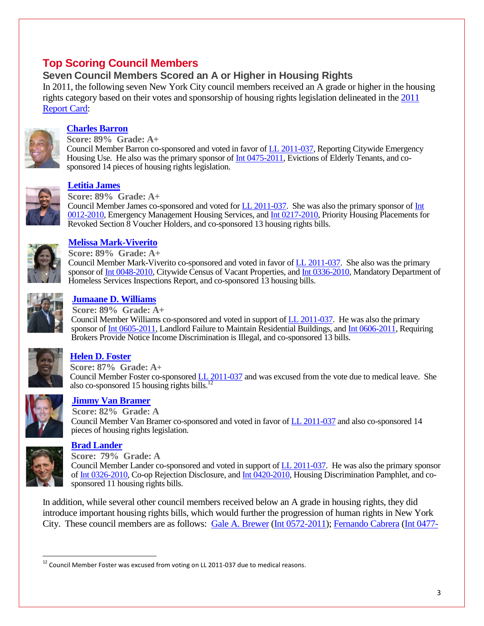# **Top Scoring Council Members**

## **Seven Council Members Scored an A or Higher in Housing Rights**

In 2011, the following seven New York City council members received an A grade or higher in the housing rights category based on their votes and sponsorship of housing rights legislation delineated in the [2011](http://www.hrpujc.org/documents/2011ReportCardWeb.pdf)  [Report Card:](http://www.hrpujc.org/documents/2011ReportCardWeb.pdf)



### **[Charles Barron](http://council.nyc.gov/d42/html/members/home.shtml)**

**Score: 89% Grade: A+** Council Member Barron co-sponsored and voted in favor of [LL 2011-037,](http://legistar.council.nyc.gov/LegislationDetail.aspx?ID=805820&GUID=D78B3B37-1F60-4684-BAD0-4550521D5899&Options=ID|Text|&Search=037) Reporting Citywide Emergency Housing Use. He also was the primary sponsor o[f Int 0475-2011,](http://legistar.council.nyc.gov/LegislationDetail.aspx?ID=842802&GUID=0A5DCF94-3E2B-45D1-897F-02FE51446BCD&Options=ID|Text|&Search=housing) Evictions of Elderly Tenants, and cosponsored 14 pieces of housing rights legislation.



#### **[Letitia James](http://council.nyc.gov/d35/html/members/home.shtml)**

**Score: 89% Grade: A+**

Council Member James co-sponsored and voted for [LL 2011-037.](http://legistar.council.nyc.gov/LegislationDetail.aspx?ID=805820&GUID=D78B3B37-1F60-4684-BAD0-4550521D5899&Options=ID|Text|&Search=037) She was also the primary sponsor of [Int](http://legistar.council.nyc.gov/LegislationDetail.aspx?ID=648806&GUID=145C3459-B38E-48D6-A0AA-3EE252DE85D9&Options=ID|Text|&Search=housing)  [0012-2010,](http://legistar.council.nyc.gov/LegislationDetail.aspx?ID=648806&GUID=145C3459-B38E-48D6-A0AA-3EE252DE85D9&Options=ID|Text|&Search=housing) Emergency Management Housing Services, an[d Int 0217-2010,](http://legistar.council.nyc.gov/LegislationDetail.aspx?ID=662406&GUID=7B14BFF3-BABC-4258-8999-C68D5D7EF8B1&Options=ID|Text|&Search=housing) Priority Housing Placements for Revoked Section 8 Voucher Holders, and co-sponsored 13 housing rights bills.



#### **[Melissa Mark-Viverito](http://council.nyc.gov/d8/html/members/home.shtml)**

**Score: 89% Grade: A+** Council Member Mark-Viverito co-sponsored and voted in favor o[f LL 2011-037.](http://legistar.council.nyc.gov/LegislationDetail.aspx?ID=805820&GUID=D78B3B37-1F60-4684-BAD0-4550521D5899&Options=ID|Text|&Search=037) She also was the primary sponsor of [Int 0048-2010,](http://legistar.council.nyc.gov/LegislationDetail.aspx?ID=649884&GUID=4B0F7491-9B25-48B8-BEE9-3183D8943704&Options=ID|Text|&Search=housing) Citywide Census of Vacant Properties, and [Int 0336-2010,](http://legistar.council.nyc.gov/LegislationDetail.aspx?ID=773195&GUID=0CCEA702-FD39-45AF-B43E-8501892FE887&Options=ID|Text|&Search=housing) Mandatory Department of Homeless Services Inspections Report, and co-sponsored 13 housing bills.



# **[Jumaane D. Williams](http://council.nyc.gov/d45/html/members/home.shtml)**

**Score: 89% Grade: A+**

Council Member Williams co-sponsored and voted in support o[f LL 2011-037.](http://legistar.council.nyc.gov/LegislationDetail.aspx?ID=805820&GUID=D78B3B37-1F60-4684-BAD0-4550521D5899&Options=ID|Text|&Search=037) He was also the primary sponsor o[f Int 0605-2011,](http://legistar.council.nyc.gov/LegislationDetail.aspx?ID=917890&GUID=51B9513B-33B3-45D5-B151-D4876FD9233A&Options=ID|Text|&Search=605) Landlord Failure to Maintain Residential Buildings, an[d Int 0606-2011,](http://legistar.council.nyc.gov/LegislationDetail.aspx?ID=917888&GUID=3182D6F0-75FB-417C-95D8-FF2712686328&Options=ID|Text|&Search=discrimination) Requiring Brokers Provide Notice Income Discrimination is Illegal, and co-sponsored 13 bills.



### **[Helen D. Foster](http://council.nyc.gov/d16/html/members/home.shtml)**

**Score: 87% Grade: A+** Council Member Foster co-sponsore[d LL 2011-037](http://legistar.council.nyc.gov/LegislationDetail.aspx?ID=805820&GUID=D78B3B37-1F60-4684-BAD0-4550521D5899&Options=ID|Text|&Search=037) and was excused from the vote due to medical leave. She also co-sponsored 15 housing rights bills.<sup>12</sup>



## **[Jimmy Van Bramer](http://council.nyc.gov/d26/html/members/home.shtml)**

**Score: 82% Grade: A** Council Member Van Bramer co-sponsored and voted in favor o[f LL 2011-037](http://legistar.council.nyc.gov/LegislationDetail.aspx?ID=805820&GUID=D78B3B37-1F60-4684-BAD0-4550521D5899&Options=ID|Text|&Search=037) and also co-sponsored 14 pieces of housing rights legislation.



#### **[Brad Lander](http://council.nyc.gov/d39/html/members/home.shtml)**

**Score: 79% Grade: A**

Council Member Lander co-sponsored and voted in support of [LL 2011-037.](http://legistar.council.nyc.gov/LegislationDetail.aspx?ID=805820&GUID=D78B3B37-1F60-4684-BAD0-4550521D5899&Options=ID|Text|&Search=037) He was also the primary sponsor o[f Int 0326-2010,](http://legistar.council.nyc.gov/LegislationDetail.aspx?ID=733531&GUID=698BAA04-3FEF-421E-9E76-00F69400B59B&Options=ID|Text|&Search=housing) Co-op Rejection Disclosure, an[d Int 0420-2010,](http://legistar.council.nyc.gov/LegislationDetail.aspx?ID=803593&GUID=3B2A14BD-3CCE-4586-B074-7E5AEFF7BB53&Options=ID|Text|&Search=housing) Housing Discrimination Pamphlet, and cosponsored 11 housing rights bills.

In addition, while several other council members received below an A grade in housing rights, they did introduce important housing rights bills, which would further the progression of human rights in New York City. These council members are as follows: [Gale A. Brewer](http://council.nyc.gov/d6/html/members/home.shtml) [\(Int 0572-2011\)](http://legistar.council.nyc.gov/LegislationDetail.aspx?ID=908209&GUID=D7EDB916-AF2C-4831-9823-216E8E18AFEC&Options=ID|Text|&Search=572); [Fernando Cabrera](http://council.nyc.gov/d14/html/members/home.shtml) [\(Int 0477-](http://legistar.council.nyc.gov/LegislationDetail.aspx?ID=842801&GUID=4F0FF5BF-257E-449B-9D12-3B784CD42337&Options=ID|Text|&Search=housing)

 $\overline{a}$  $12$  Council Member Foster was excused from voting on LL 2011-037 due to medical reasons.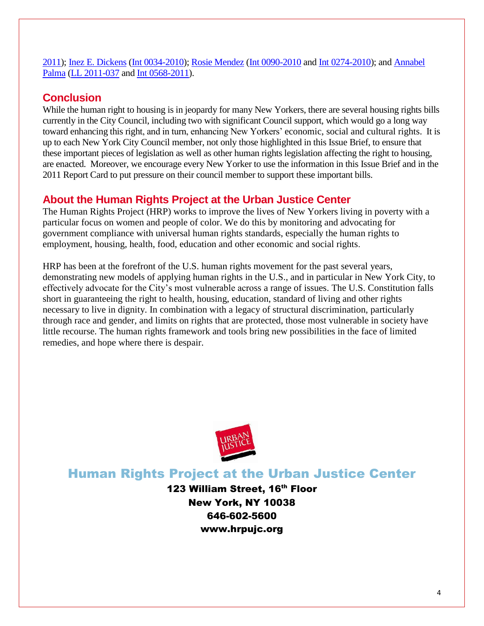[2011\)](http://legistar.council.nyc.gov/LegislationDetail.aspx?ID=842801&GUID=4F0FF5BF-257E-449B-9D12-3B784CD42337&Options=ID|Text|&Search=housing); [Inez E. Dickens](http://council.nyc.gov/d9/html/members/home.shtml) [\(Int 0034-2010\)](http://legistar.council.nyc.gov/LegislationDetail.aspx?ID=649914&GUID=A3249471-4D6E-4AA7-8868-B1F3A46E5CD4&Options=ID|Text|&Search=housing); [Rosie Mendez](http://council.nyc.gov/d2/html/members/home.shtml) [\(Int 0090-2010](http://legistar.council.nyc.gov/LegislationDetail.aspx?ID=652625&GUID=1BAE21F9-D76F-4333-AA71-D3490D617DD7&Options=ID|Text|&Search=housing) and [Int 0274-2010\)](http://legistar.council.nyc.gov/LegislationDetail.aspx?ID=666575&GUID=1A6FDDA4-A681-480B-A097-0249BD4AE4EF&Options=ID|Text|&Search=housing); and [Annabel](http://council.nyc.gov/d18/html/members/home.shtml)  [Palma](http://council.nyc.gov/d18/html/members/home.shtml) [\(LL 2011-037](http://legistar.council.nyc.gov/LegislationDetail.aspx?ID=805820&GUID=D78B3B37-1F60-4684-BAD0-4550521D5899&Options=ID|Text|&Search=037) and [Int 0568-2011\)](http://legistar.council.nyc.gov/LegislationDetail.aspx?ID=904476&GUID=AAE9889E-BA14-4E84-B673-96D737D36F27&Options=ID|Text|&Search=568).

# **Conclusion**

While the human right to housing is in jeopardy for many New Yorkers, there are several housing rights bills currently in the City Council, including two with significant Council support, which would go a long way toward enhancing this right, and in turn, enhancing New Yorkers' economic, social and cultural rights. It is up to each New York City Council member, not only those highlighted in this Issue Brief, to ensure that these important pieces of legislation as well as other human rights legislation affecting the right to housing, are enacted. Moreover, we encourage every New Yorker to use the information in this Issue Brief and in the 2011 Report Card to put pressure on their council member to support these important bills.

# **About the Human Rights Project at the Urban Justice Center**

The Human Rights Project (HRP) works to improve the lives of New Yorkers living in poverty with a particular focus on women and people of color. We do this by monitoring and advocating for government compliance with universal human rights standards, especially the human rights to employment, housing, health, food, education and other economic and social rights.

HRP has been at the forefront of the U.S. human rights movement for the past several years, demonstrating new models of applying human rights in the U.S., and in particular in New York City, to effectively advocate for the City's most vulnerable across a range of issues. The U.S. Constitution falls short in guaranteeing the right to health, housing, education, standard of living and other rights necessary to live in dignity. In combination with a legacy of structural discrimination, particularly through race and gender, and limits on rights that are protected, those most vulnerable in society have little recourse. The human rights framework and tools bring new possibilities in the face of limited remedies, and hope where there is despair.



# Human Rights Project at the Urban Justice Center

123 William Street, 16<sup>th</sup> Floor New York, NY 10038 646-602-5600 www.hrpujc.org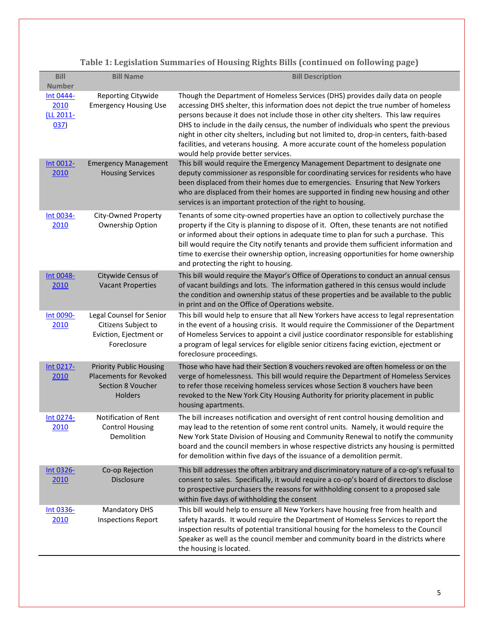**Table 1: Legislation Summaries of Housing Rights Bills (continued on following page)**

| <b>Bill</b><br><b>Number</b>           | <b>Bill Name</b>                                                                                       | <b>Bill Description</b>                                                                                                                                                                                                                                                                                                                                                                                                                                                                                                                                                       |
|----------------------------------------|--------------------------------------------------------------------------------------------------------|-------------------------------------------------------------------------------------------------------------------------------------------------------------------------------------------------------------------------------------------------------------------------------------------------------------------------------------------------------------------------------------------------------------------------------------------------------------------------------------------------------------------------------------------------------------------------------|
| Int 0444-<br>2010<br>(LL 2011-<br>037) | Reporting Citywide<br><b>Emergency Housing Use</b>                                                     | Though the Department of Homeless Services (DHS) provides daily data on people<br>accessing DHS shelter, this information does not depict the true number of homeless<br>persons because it does not include those in other city shelters. This law requires<br>DHS to include in the daily census, the number of individuals who spent the previous<br>night in other city shelters, including but not limited to, drop-in centers, faith-based<br>facilities, and veterans housing. A more accurate count of the homeless population<br>would help provide better services. |
| Int 0012-<br>2010                      | <b>Emergency Management</b><br><b>Housing Services</b>                                                 | This bill would require the Emergency Management Department to designate one<br>deputy commissioner as responsible for coordinating services for residents who have<br>been displaced from their homes due to emergencies. Ensuring that New Yorkers<br>who are displaced from their homes are supported in finding new housing and other<br>services is an important protection of the right to housing.                                                                                                                                                                     |
| Int 0034-<br>2010                      | City-Owned Property<br>Ownership Option                                                                | Tenants of some city-owned properties have an option to collectively purchase the<br>property if the City is planning to dispose of it. Often, these tenants are not notified<br>or informed about their options in adequate time to plan for such a purchase. This<br>bill would require the City notify tenants and provide them sufficient information and<br>time to exercise their ownership option, increasing opportunities for home ownership<br>and protecting the right to housing.                                                                                 |
| Int 0048-<br>2010                      | Citywide Census of<br><b>Vacant Properties</b>                                                         | This bill would require the Mayor's Office of Operations to conduct an annual census<br>of vacant buildings and lots. The information gathered in this census would include<br>the condition and ownership status of these properties and be available to the public<br>in print and on the Office of Operations website.                                                                                                                                                                                                                                                     |
| Int 0090-<br>2010                      | Legal Counsel for Senior<br>Citizens Subject to<br>Eviction, Ejectment or<br>Foreclosure               | This bill would help to ensure that all New Yorkers have access to legal representation<br>in the event of a housing crisis. It would require the Commissioner of the Department<br>of Homeless Services to appoint a civil justice coordinator responsible for establishing<br>a program of legal services for eligible senior citizens facing eviction, ejectment or<br>foreclosure proceedings.                                                                                                                                                                            |
| Int 0217-<br>2010                      | <b>Priority Public Housing</b><br><b>Placements for Revoked</b><br>Section 8 Voucher<br><b>Holders</b> | Those who have had their Section 8 vouchers revoked are often homeless or on the<br>verge of homelessness. This bill would require the Department of Homeless Services<br>to refer those receiving homeless services whose Section 8 vouchers have been<br>revoked to the New York City Housing Authority for priority placement in public<br>housing apartments.                                                                                                                                                                                                             |
| Int 0274-<br><u> 2010</u>              | Notification of Rent<br><b>Control Housing</b><br>Demolition                                           | The bill increases notification and oversight of rent control housing demolition and<br>may lead to the retention of some rent control units. Namely, it would require the<br>New York State Division of Housing and Community Renewal to notify the community<br>board and the council members in whose respective districts any housing is permitted<br>for demolition within five days of the issuance of a demolition permit.                                                                                                                                             |
| Int 0326-<br>2010                      | Co-op Rejection<br><b>Disclosure</b>                                                                   | This bill addresses the often arbitrary and discriminatory nature of a co-op's refusal to<br>consent to sales. Specifically, it would require a co-op's board of directors to disclose<br>to prospective purchasers the reasons for withholding consent to a proposed sale<br>within five days of withholding the consent                                                                                                                                                                                                                                                     |
| Int 0336-<br>2010                      | <b>Mandatory DHS</b><br><b>Inspections Report</b>                                                      | This bill would help to ensure all New Yorkers have housing free from health and<br>safety hazards. It would require the Department of Homeless Services to report the<br>inspection results of potential transitional housing for the homeless to the Council<br>Speaker as well as the council member and community board in the districts where<br>the housing is located.                                                                                                                                                                                                 |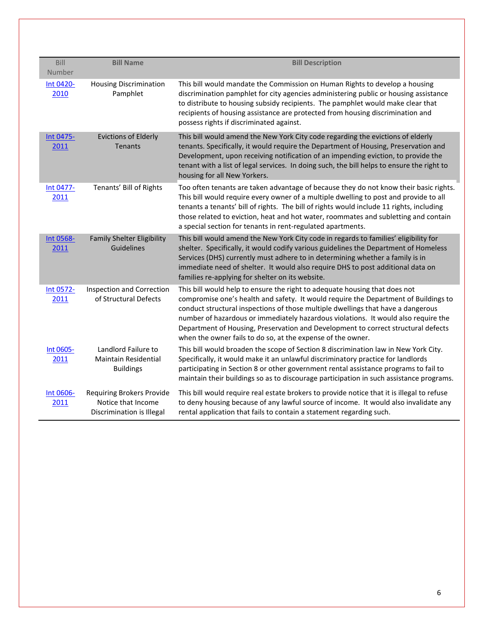| Bill              | <b>Bill Name</b>                                                             | <b>Bill Description</b>                                                                                                                                                                                                                                                                                                                                                                                                                                                                         |
|-------------------|------------------------------------------------------------------------------|-------------------------------------------------------------------------------------------------------------------------------------------------------------------------------------------------------------------------------------------------------------------------------------------------------------------------------------------------------------------------------------------------------------------------------------------------------------------------------------------------|
| Number            |                                                                              |                                                                                                                                                                                                                                                                                                                                                                                                                                                                                                 |
| Int 0420-<br>2010 | <b>Housing Discrimination</b><br>Pamphlet                                    | This bill would mandate the Commission on Human Rights to develop a housing<br>discrimination pamphlet for city agencies administering public or housing assistance<br>to distribute to housing subsidy recipients. The pamphlet would make clear that<br>recipients of housing assistance are protected from housing discrimination and<br>possess rights if discriminated against.                                                                                                            |
| Int 0475-<br>2011 | <b>Evictions of Elderly</b><br><b>Tenants</b>                                | This bill would amend the New York City code regarding the evictions of elderly<br>tenants. Specifically, it would require the Department of Housing, Preservation and<br>Development, upon receiving notification of an impending eviction, to provide the<br>tenant with a list of legal services. In doing such, the bill helps to ensure the right to<br>housing for all New Yorkers.                                                                                                       |
| Int 0477-<br>2011 | Tenants' Bill of Rights                                                      | Too often tenants are taken advantage of because they do not know their basic rights.<br>This bill would require every owner of a multiple dwelling to post and provide to all<br>tenants a tenants' bill of rights. The bill of rights would include 11 rights, including<br>those related to eviction, heat and hot water, roommates and subletting and contain<br>a special section for tenants in rent-regulated apartments.                                                                |
| Int 0568-<br>2011 | <b>Family Shelter Eligibility</b><br>Guidelines                              | This bill would amend the New York City code in regards to families' eligibility for<br>shelter. Specifically, it would codify various guidelines the Department of Homeless<br>Services (DHS) currently must adhere to in determining whether a family is in<br>immediate need of shelter. It would also require DHS to post additional data on<br>families re-applying for shelter on its website.                                                                                            |
| Int 0572-<br>2011 | Inspection and Correction<br>of Structural Defects                           | This bill would help to ensure the right to adequate housing that does not<br>compromise one's health and safety. It would require the Department of Buildings to<br>conduct structural inspections of those multiple dwellings that have a dangerous<br>number of hazardous or immediately hazardous violations. It would also require the<br>Department of Housing, Preservation and Development to correct structural defects<br>when the owner fails to do so, at the expense of the owner. |
| Int 0605-<br>2011 | Landlord Failure to<br><b>Maintain Residential</b><br><b>Buildings</b>       | This bill would broaden the scope of Section 8 discrimination law in New York City.<br>Specifically, it would make it an unlawful discriminatory practice for landlords<br>participating in Section 8 or other government rental assistance programs to fail to<br>maintain their buildings so as to discourage participation in such assistance programs.                                                                                                                                      |
| Int 0606-<br>2011 | Requiring Brokers Provide<br>Notice that Income<br>Discrimination is Illegal | This bill would require real estate brokers to provide notice that it is illegal to refuse<br>to deny housing because of any lawful source of income. It would also invalidate any<br>rental application that fails to contain a statement regarding such.                                                                                                                                                                                                                                      |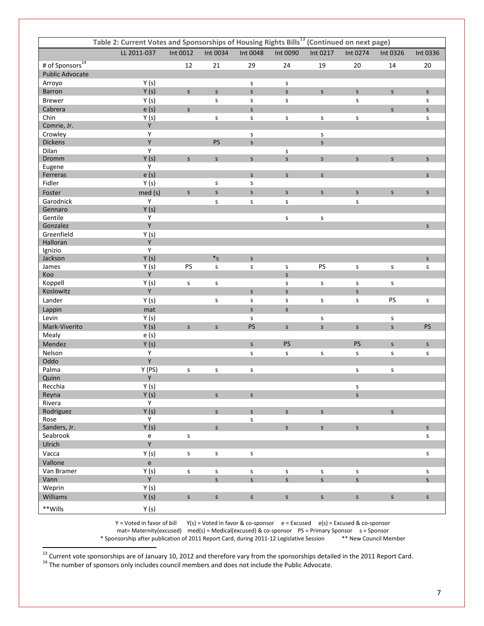| Table 2: Current Votes and Sponsorships of Housing Rights Bills <sup>13</sup> (Continued on next page) |              |              |                               |                             |                   |                   |                   |              |                             |
|--------------------------------------------------------------------------------------------------------|--------------|--------------|-------------------------------|-----------------------------|-------------------|-------------------|-------------------|--------------|-----------------------------|
|                                                                                                        | LL 2011-037  | Int 0012     | Int 0034                      | Int 0048                    | Int 0090          | Int 0217          | Int 0274          | Int 0326     | Int 0336                    |
| # of Sponsors <sup>14</sup>                                                                            |              | 12           | 21                            | 29                          | 24                | 19                | 20                | 14           | 20                          |
| <b>Public Advocate</b>                                                                                 |              |              |                               |                             |                   |                   |                   |              |                             |
| Arroyo                                                                                                 | Y(s)         |              |                               | s                           | s                 |                   |                   |              |                             |
| Barron                                                                                                 | Y(s)         | $\mathsf{S}$ | $\mathsf{S}$                  | $\mathsf{S}$                | S                 | S                 | $\mathsf S$       | $\mathsf{S}$ | $\mathsf S$                 |
| <b>Brewer</b>                                                                                          | Y(s)         |              | s                             | s                           | s                 |                   | s                 |              | s                           |
| Cabrera                                                                                                |              | $\mathsf{s}$ |                               | $\mathsf{s}$                |                   |                   |                   |              | $\mathsf{s}$                |
|                                                                                                        | e(s)         |              |                               |                             |                   |                   |                   | $\mathsf{S}$ |                             |
| Chin<br>Comrie, Jr.                                                                                    | Y(s)<br>Y    |              | S                             | s                           | $\sf S$           | $\mathsf S$       | S                 |              | s                           |
|                                                                                                        |              |              |                               |                             |                   |                   |                   |              |                             |
| Crowley<br><b>Dickens</b>                                                                              | Y<br>Y       |              | PS                            | s                           |                   | s<br>$\mathsf{S}$ |                   |              |                             |
|                                                                                                        | Y            |              |                               | $\mathsf{S}$                |                   |                   |                   |              |                             |
| Dilan<br>Dromm                                                                                         | Y(s)         | $\mathsf{S}$ | $\mathsf{S}$                  |                             | S<br>S            |                   |                   | $\mathsf{S}$ | $\mathsf{s}$                |
|                                                                                                        | Y            |              |                               | $\mathsf S$                 |                   | $\mathsf{S}$      | $\sf S$           |              |                             |
| Eugene<br>Ferreras                                                                                     | e(s)         |              |                               | $\mathsf{S}$                | $\mathsf{S}$      | $\mathsf{S}$      |                   |              | S                           |
| Fidler                                                                                                 | Y(s)         |              | $\sf S$                       | $\sf S$                     |                   |                   |                   |              |                             |
|                                                                                                        |              |              |                               |                             |                   |                   |                   |              |                             |
| Foster                                                                                                 | med(s)       | $\mathsf S$  | $\mathsf{S}$                  | $\mathsf{S}$                | S                 | $\mathsf{S}$      | $\mathsf S$       | $\mathsf{S}$ | $\mathsf{s}$                |
| Garodnick                                                                                              | Y            |              | $\sf S$                       | $\sf S$                     | s                 |                   | S                 |              |                             |
| Gennaro                                                                                                | Y(s)         |              |                               |                             |                   |                   |                   |              |                             |
| Gentile                                                                                                | Y            |              |                               |                             | s                 | s                 |                   |              |                             |
| Gonzalez                                                                                               | Y            |              |                               |                             |                   |                   |                   |              | $\mathsf{S}$                |
| Greenfield                                                                                             | Y(s)         |              |                               |                             |                   |                   |                   |              |                             |
| Halloran                                                                                               | Y            |              |                               |                             |                   |                   |                   |              |                             |
| Ignizio                                                                                                | Y            |              |                               |                             |                   |                   |                   |              |                             |
| Jackson                                                                                                | Y(s)         |              | $\boldsymbol{*}_{\mathsf{S}}$ | $\mathsf{S}$                |                   |                   |                   |              | $\mathsf S$                 |
| James                                                                                                  | Y(s)         | PS           | s                             | $\sf S$                     | s                 | PS                | $\sf S$           | s            | s                           |
| Koo                                                                                                    | Y            |              |                               |                             | $\mathsf{S}$      |                   |                   |              |                             |
| Koppell                                                                                                | Y(s)         | s            | $\mathsf S$                   |                             | s                 | $\mathsf{s}$      | s                 | s            |                             |
| Koslowitz                                                                                              | Y            |              |                               | $\mathsf{S}$                | $\mathsf{S}$      |                   | $\mathsf{S}$      |              |                             |
| Lander                                                                                                 | Y(s)         |              | s                             | s                           | s                 | s                 | S                 | PS           | s                           |
| Lappin                                                                                                 | mat          |              |                               | $\mathsf{s}$                | $\mathsf{S}$      |                   |                   |              |                             |
| Levin                                                                                                  | Y(s)         |              |                               | s                           |                   | s                 |                   | s            |                             |
| Mark-Viverito                                                                                          | Y(s)         | $\mathsf S$  | $\mathsf{S}$                  | PS                          | S                 | $\sf S$           | $\sf S$           | $\mathsf{s}$ | PS                          |
| Mealy                                                                                                  | e(s)         |              |                               |                             |                   |                   |                   |              |                             |
| Mendez                                                                                                 | Y(s)         |              |                               | $\mathsf{S}$                | PS                |                   | PS                | $\mathsf{S}$ | $\mathsf{s}$                |
| Nelson                                                                                                 | Y            |              |                               | $\sf S$                     | $\sf S$           | $\sf S$           | $\sf S$           | S            | s                           |
| Oddo                                                                                                   | Y            |              |                               |                             |                   |                   |                   |              |                             |
| Palma                                                                                                  | Y (PS)       | $\sf S$      | $\sf S$                       | $\sf S$                     |                   |                   | s                 | s            |                             |
| Quinn                                                                                                  | Y            |              |                               |                             |                   |                   |                   |              |                             |
| Recchia                                                                                                | Y(s)         |              |                               |                             |                   |                   | s                 |              |                             |
| Reyna                                                                                                  | Y(s)         |              | $\mathsf{S}$                  | $\mathsf{S}$                |                   |                   | $\mathsf{s}$      |              |                             |
| Rivera                                                                                                 | Y            |              |                               |                             |                   |                   |                   |              |                             |
| Rodriguez                                                                                              | Y(s)         |              | $\mathsf{S}$                  | $\mathsf{S}$                | $\mathsf{S}$      | $\mathsf{s}$      |                   | $\mathsf{S}$ |                             |
| Rose                                                                                                   | Y            |              |                               | s                           |                   |                   |                   |              |                             |
| Sanders, Jr.                                                                                           | Y(s)         |              | $\mathsf{S}$                  |                             | S                 | S                 | $\mathsf{S}$      |              | $\mathsf{S}$                |
| Seabrook                                                                                               | ${\bf e}$    | s            |                               |                             |                   |                   |                   |              | s                           |
| Ulrich                                                                                                 | Y            |              |                               |                             |                   |                   |                   |              |                             |
| Vacca                                                                                                  | Y(s)         | $\mathsf{s}$ | $\mathsf S$                   | $\sf S$                     |                   |                   |                   |              | s                           |
| Vallone                                                                                                | $\mathsf{e}$ |              |                               |                             |                   |                   |                   |              |                             |
|                                                                                                        |              |              |                               |                             |                   |                   |                   |              |                             |
| Van Bramer<br>Vann                                                                                     | Y(s)<br>Y    | S            | S<br>$\mathsf{s}$             | $\mathsf S$<br>$\mathsf{s}$ | S<br>$\mathsf{S}$ | s<br>$\mathsf{s}$ | s<br>$\mathsf{s}$ |              | $\mathsf S$<br>$\mathsf{s}$ |
|                                                                                                        |              |              |                               |                             |                   |                   |                   |              |                             |
| Weprin                                                                                                 | Y(s)         |              |                               |                             |                   |                   |                   |              |                             |
| Williams                                                                                               | Y(s)         | S            | S                             | $\sf S$                     | S                 | $\mathsf S$       | $\mathsf S$       | S            | S                           |
| **Wills                                                                                                | Y(s)         |              |                               |                             |                   |                   |                   |              |                             |

Y = Voted in favor of bill Y(s) = Voted in favor & co-sponsor e = Excused e(s) = Excused & co-sponsor mat= Maternity(excused) med(s) = Medical(excused) & co-sponsor PS = Primary Sponsor s = Sponsor<br>nsorship after publication of 2011 Report Card, during 2011-12 Legislative Session \*\* New Council Member \* Sponsorship after publication of 2011 Report Card, during 2011-12 Legislative Session

<sup>13</sup> Current vote sponsorships are of January 10, 2012 and therefore vary from the sponsorships detailed in the 2011 Report Card.

<sup>14</sup> The number of sponsors only includes council members and does not include the Public Advocate.

 $\overline{\phantom{a}}$